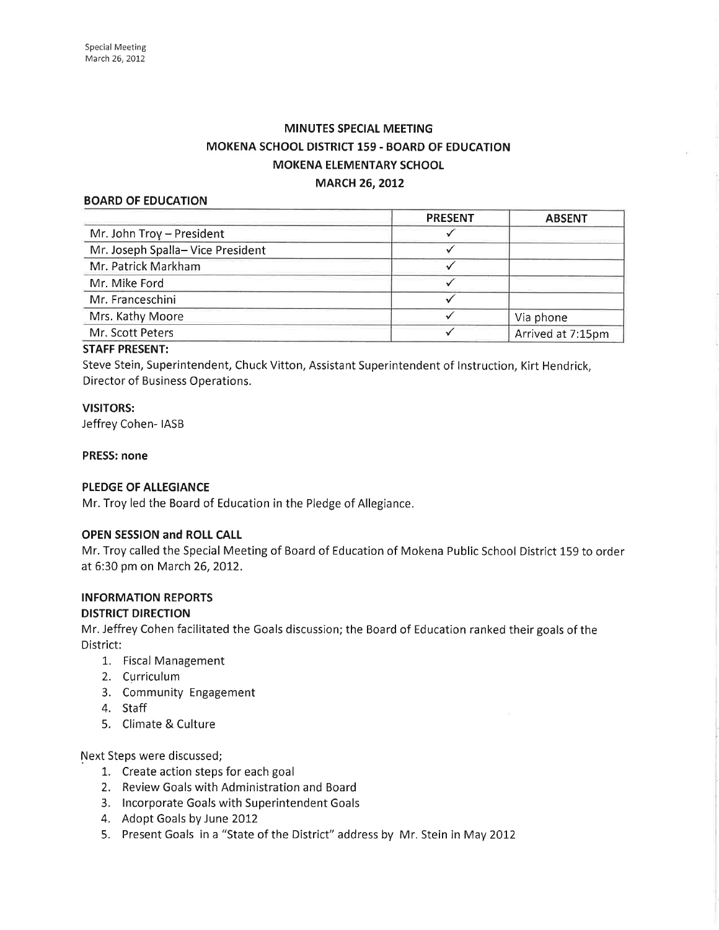# **MINUTES SPECIAL MEETING** MOKENA SCHOOL DISTRICT 159 - BOARD OF EDUCATION MOKENA ELEMENTARY SCHOOL **MARCH 26, 2012**

### BOARD OF EDUCATION

| <b>PRESENT</b> | <b>ABSENT</b>     |
|----------------|-------------------|
|                |                   |
|                |                   |
|                |                   |
|                |                   |
|                |                   |
|                | Via phone         |
|                | Arrived at 7:15pm |
|                |                   |

### STAFF PRESENT:

Steve Stein, Superintendent, Chuck Vitton, Assistant Superintendent of lnstruction, Kirt Hendrick, Director of Business Operations.

# VISITORS:

Jeffrey Cohen- IASB

#### PRESS: none

### PLEDGE OF ALLEGIANCE

Mr. Troy led the Board of Education in the Pledge of Allegiance.

### OPEN SESSION and ROLL CALL

Mr. Troy called the Special Meeting of Board of Education of Mokena Public School District 159 to order at 6:30 pm on March 26,2012.

# INFORMATION REPORTS

#### DISTRICT DIRECTION

Mr. Jeffrey Cohen facilitated the Goals discussion; the Board of Education ranked their goals of the District:

- 1.. Fiscal Management
- 2. Curriculum
- 3. Community Engagement
- 4. Staff
- 5. Climate & Culture

Next Steps were discussed;

- L. Create action steps for each goal
- 2. Review Goals with Administration and Board
- 3. lncorporate Goals with Superintendent Goals
- 4. Adopt Goals by June 2012
- 5. Present Goals in a "State of the District" address by Mr. Stein in May 2012